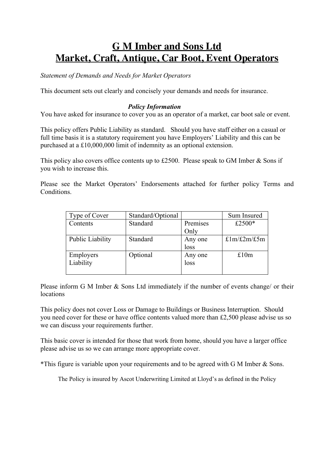# **G M Imber and Sons Ltd Market, Craft, Antique, Car Boot, Event Operators**

*Statement of Demands and Needs for Market Operators*

This document sets out clearly and concisely your demands and needs for insurance.

## *Policy Information*

You have asked for insurance to cover you as an operator of a market, car boot sale or event.

This policy offers Public Liability as standard. Should you have staff either on a casual or full time basis it is a statutory requirement you have Employers' Liability and this can be purchased at a £10,000,000 limit of indemnity as an optional extension.

This policy also covers office contents up to £2500. Please speak to GM Imber & Sons if you wish to increase this.

Please see the Market Operators' Endorsements attached for further policy Terms and Conditions.

| Type of Cover    | Standard/Optional |          | Sum Insured                        |
|------------------|-------------------|----------|------------------------------------|
| Contents         | Standard          | Premises | £2500*                             |
|                  |                   | Only     |                                    |
| Public Liability | Standard          | Any one  | $\text{£1m}/\text{£2m}/\text{£5m}$ |
|                  |                   | loss     |                                    |
| Employers        | Optional          | Any one  | £10m                               |
| Liability        |                   | loss     |                                    |
|                  |                   |          |                                    |

Please inform G M Imber & Sons Ltd immediately if the number of events change/ or their locations

This policy does not cover Loss or Damage to Buildings or Business Interruption. Should you need cover for these or have office contents valued more than £2,500 please advise us so we can discuss your requirements further.

This basic cover is intended for those that work from home, should you have a larger office please advise us so we can arrange more appropriate cover.

\*This figure is variable upon your requirements and to be agreed with G M Imber & Sons.

The Policy is insured by Ascot Underwriting Limited at Lloyd's as defined in the Policy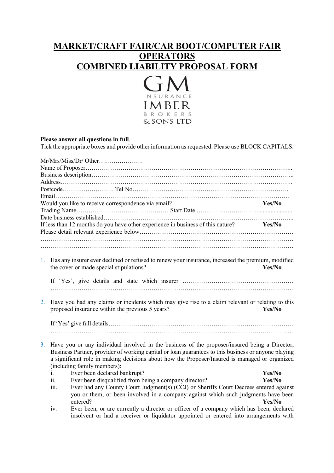## **MARKET/CRAFT FAIR/CAR BOOT/COMPUTER FAIR OPERATORS COMBINED LIABILITY PROPOSAL FORM**



## **Please answer all questions in full**.

Tick the appropriate boxes and provide other information as requested. Please use BLOCK CAPITALS.

|    | Mr/Mrs/Miss/Dr/ Other                                                                                |        |
|----|------------------------------------------------------------------------------------------------------|--------|
|    |                                                                                                      |        |
|    |                                                                                                      |        |
|    |                                                                                                      |        |
|    |                                                                                                      |        |
|    |                                                                                                      |        |
|    | Would you like to receive correspondence via email?                                                  | Yes/No |
|    |                                                                                                      |        |
|    |                                                                                                      |        |
|    | If less than 12 months do you have other experience in business of this nature?                      | Yes/No |
|    |                                                                                                      |        |
|    |                                                                                                      |        |
|    |                                                                                                      |        |
|    | 1. Has any insurer ever declined or refused to renew your insurance, increased the premium, modified |        |
|    | the cover or made special stipulations?                                                              | Yes/No |
|    |                                                                                                      |        |
|    |                                                                                                      |        |
|    |                                                                                                      |        |
|    |                                                                                                      |        |
| 2. | Have you had any claims or incidents which may give rise to a claim relevant or relating to this     |        |
|    | proposed insurance within the previous 5 years?                                                      | Yes/No |
|    |                                                                                                      |        |
|    |                                                                                                      |        |
|    |                                                                                                      |        |
| 3. | Have you or any individual involved in the business of the proposer/insured being a Director,        |        |
|    | Business Partner, provider of working capital or loan guarantees to this business or anyone playing  |        |
|    | a significant role in making decisions about how the Proposer/Insured is managed or organized        |        |
|    | (including family members):                                                                          |        |
|    | Ever been declared bankrupt?<br>1.                                                                   | Yes/No |
|    | Ever been disqualified from being a company director?<br>11.                                         | Yes/No |
|    | Ever had any County Court Judgment(s) (CCJ) or Sheriffs Court Decrees entered against<br>111.        |        |
|    | you or them, or been involved in a company against which such judgments have been                    |        |
|    | entered?                                                                                             | Yes/No |

iv. Ever been, or are currently a director or officer of a company which has been, declared insolvent or had a receiver or liquidator appointed or entered into arrangements with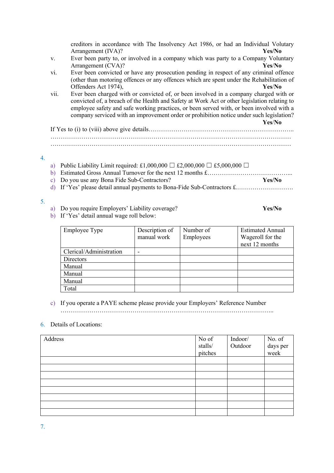|      | creditors in accordance with The Insolvency Act 1986, or had an Individual Volutary<br>Yes/No                                                                                                                                                                                                                                                                                           |
|------|-----------------------------------------------------------------------------------------------------------------------------------------------------------------------------------------------------------------------------------------------------------------------------------------------------------------------------------------------------------------------------------------|
|      | Arrangement (IVA)?<br>Ever been party to, or involved in a company which was party to a Company Voluntary                                                                                                                                                                                                                                                                               |
| V.   | Arrangement (CVA)?<br>Yes/No                                                                                                                                                                                                                                                                                                                                                            |
| vi.  | Ever been convicted or have any prosecution pending in respect of any criminal offence<br>(other than motoring offences or any offences which are spent under the Rehabilitation of                                                                                                                                                                                                     |
|      | Offenders Act 1974),<br>Yes/No                                                                                                                                                                                                                                                                                                                                                          |
| vii. | Ever been charged with or convicted of, or been involved in a company charged with or<br>convicted of, a breach of the Health and Safety at Work Act or other legislation relating to<br>employee safety and safe working practices, or been served with, or been involved with a<br>company serviced with an improvement order or prohibition notice under such legislation?<br>Yes/No |
|      |                                                                                                                                                                                                                                                                                                                                                                                         |
|      |                                                                                                                                                                                                                                                                                                                                                                                         |
|      |                                                                                                                                                                                                                                                                                                                                                                                         |
|      |                                                                                                                                                                                                                                                                                                                                                                                         |
| a)   | Public Liability Limit required: £1,000,000 $\Box$ £2,000,000 $\Box$ £5,000,000 $\Box$                                                                                                                                                                                                                                                                                                  |
| b)   |                                                                                                                                                                                                                                                                                                                                                                                         |

- c) Do you use any Bona Fide Sub-Contractors? **Yes/No**
- d) If 'Yes' please detail annual payments to Bona-Fide Sub-Contractors £……………………….

#### 5.

4.

a) Do you require Employers' Liability coverage? **Yes/No**

b) If 'Yes' detail annual wage roll below:

| Employee Type           | Description of | Number of | <b>Estimated Annual</b> |
|-------------------------|----------------|-----------|-------------------------|
|                         | manual work    | Employees | Wageroll for the        |
|                         |                |           | next 12 months          |
| Clerical/Administration |                |           |                         |
| Directors               |                |           |                         |
| Manual                  |                |           |                         |
| Manual                  |                |           |                         |
| Manual                  |                |           |                         |
| Total                   |                |           |                         |

## c) If you operate a PAYE scheme please provide your Employers' Reference Number

…………………………………………………………………………………………..

## 6. Details of Locations:

| Address | No of<br>$\mathrm{stalls}/% \mathrm{stalls}$<br>pitches | Indoor/<br>Outdoor | No. of<br>days per<br>week |
|---------|---------------------------------------------------------|--------------------|----------------------------|
|         |                                                         |                    |                            |
|         |                                                         |                    |                            |
|         |                                                         |                    |                            |
|         |                                                         |                    |                            |
|         |                                                         |                    |                            |
|         |                                                         |                    |                            |
|         |                                                         |                    |                            |
|         |                                                         |                    |                            |